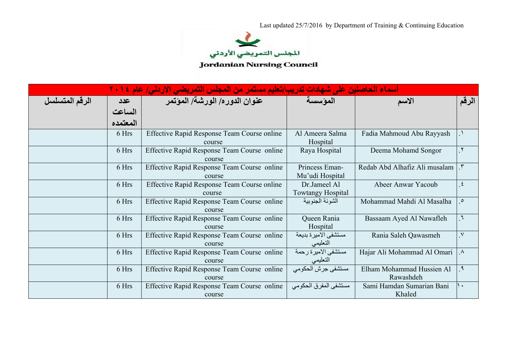Last updated 25/7/2016 by Department of Training & Continuing Education



**Jordanian Nursing Council** 

| أسماء الحاصلين على شهادات تدريب/تعليم مستمر من المجلس التمريضي الاردني/ عام ٢٠١٤ |          |                                                       |                                          |                                        |           |  |  |
|----------------------------------------------------------------------------------|----------|-------------------------------------------------------|------------------------------------------|----------------------------------------|-----------|--|--|
| الرقم المتسلسل                                                                   | عدد      | عنوان الدوره/ الورشة/ المؤتمر                         | المؤسسة                                  | الاسم                                  | الرقم     |  |  |
|                                                                                  | الساعت   |                                                       |                                          |                                        |           |  |  |
|                                                                                  | المعتمده |                                                       |                                          |                                        |           |  |  |
|                                                                                  | 6 Hrs    | Effective Rapid Response Team Course online<br>course | Al Ameera Salma<br>Hospital              | Fadia Mahmoud Abu Rayyash              |           |  |  |
|                                                                                  | 6 Hrs    | Effective Rapid Response Team Course online<br>course | Raya Hospital                            | Deema Mohamd Songor                    |           |  |  |
|                                                                                  | 6 Hrs    | Effective Rapid Response Team Course online<br>course | Princess Eman-<br>Mu'udi Hospital        | Redab Abd Alhafiz Ali musalam          |           |  |  |
|                                                                                  | 6 Hrs    | Effective Rapid Response Team Course online<br>course | Dr.Jameel Al<br><b>Towtangy Hospital</b> | Abeer Anwar Yacoub                     | ٤         |  |  |
|                                                                                  | 6 Hrs    | Effective Rapid Response Team Course online<br>course | الشونة الجنوبية                          | Mohammad Mahdi Al Masalha              | $\circ$   |  |  |
|                                                                                  | 6 Hrs    | Effective Rapid Response Team Course online<br>course | Queen Rania<br>Hospital                  | Bassaam Ayed Al Nawafleh               |           |  |  |
|                                                                                  | 6 Hrs    | Effective Rapid Response Team Course online<br>course | مستشفى الاميرة بديعة<br>التعليمي         | Rania Saleh Qawasmeh                   | ٧         |  |  |
|                                                                                  | 6 Hrs    | Effective Rapid Response Team Course online<br>course | مستشفى الاميرة رحمة<br>التعليمي          | Hajar Ali Mohammad Al Omari            | $\lambda$ |  |  |
|                                                                                  | 6 Hrs    | Effective Rapid Response Team Course online<br>course | مستشفى جرش الحكومي                       | Elham Mohammad Hussien Al<br>Rawashdeh | ٩         |  |  |
|                                                                                  | 6 Hrs    | Effective Rapid Response Team Course online<br>course | مستشفى المفرق الحكومي                    | Sami Hamdan Sumarian Bani<br>Khaled    | $\cdot$   |  |  |